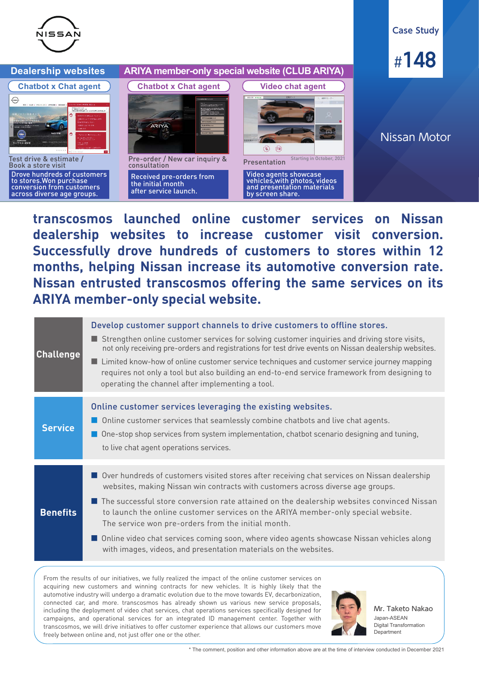

**Chatbot x Chat agent**

 $\odot$ 

### **Case Study**



## Nissan Motor

Test drive & estimate / Book a store visit Drove hundreds of customers to stores.Won purchase conversion from customers across diverse age groups.



**Dealership websites ARIYA member-only special website (CLUB ARIYA)**

Pre-order / New car inquiry & consultation Received pre-orders from

the initial month after service launch.



Video agents showcase vehicles,with photos, videos and presentation materials by screen share.

**transcosmos launched online customer services on Nissan dealership websites to increase customer visit conversion. Successfully drove hundreds of customers to stores within 12 months, helping Nissan increase its automotive conversion rate. Nissan entrusted transcosmos offering the same services on its ARIYA member-only special website.** 

| <b>Challenge</b> | Develop customer support channels to drive customers to offline stores.<br>Strengthen online customer services for solving customer inquiries and driving store visits,<br>not only receiving pre-orders and registrations for test drive events on Nissan dealership websites.<br>■ Limited know-how of online customer service techniques and customer service journey mapping<br>requires not only a tool but also building an end-to-end service framework from designing to<br>operating the channel after implementing a tool.                                                    |
|------------------|-----------------------------------------------------------------------------------------------------------------------------------------------------------------------------------------------------------------------------------------------------------------------------------------------------------------------------------------------------------------------------------------------------------------------------------------------------------------------------------------------------------------------------------------------------------------------------------------|
| <b>Service</b>   | Online customer services leveraging the existing websites.<br>Online customer services that seamlessly combine chatbots and live chat agents.<br>One-stop shop services from system implementation, chatbot scenario designing and tuning,<br>to live chat agent operations services.                                                                                                                                                                                                                                                                                                   |
| <b>Benefits</b>  | Over hundreds of customers visited stores after receiving chat services on Nissan dealership<br>websites, making Nissan win contracts with customers across diverse age groups.<br>The successful store conversion rate attained on the dealership websites convinced Nissan<br>to launch the online customer services on the ARIYA member-only special website.<br>The service won pre-orders from the initial month.<br>Online video chat services coming soon, where video agents showcase Nissan vehicles along<br>with images, videos, and presentation materials on the websites. |

From the results of our initiatives, we fully realized the impact of the online customer services on acquiring new customers and winning contracts for new vehicles. It is highly likely that the automotive industry will undergo a dramatic evolution due to the move towards EV, decarbonization, connected car, and more. transcosmos has already shown us various new service proposals, including the deployment of video chat services, chat operations services specifically designed for campaigns, and operational services for an integrated ID management center. Together with transcosmos, we will drive initiatives to offer customer experience that allows our customers move freely between online and, not just offer one or the other.



Japan-ASEAN Digital Transformation Department Mr. Taketo Nakao

\* The comment, position and other information above are at the time of interview conducted in December 2021